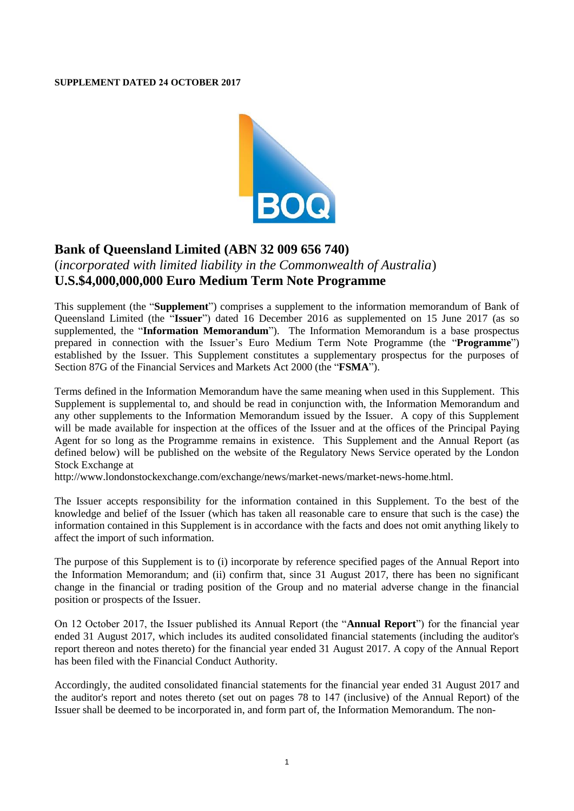## **SUPPLEMENT DATED 24 OCTOBER 2017**



## **Bank of Queensland Limited (ABN 32 009 656 740)**

## (*incorporated with limited liability in the Commonwealth of Australia*) **U.S.\$4,000,000,000 Euro Medium Term Note Programme**

This supplement (the "**Supplement**") comprises a supplement to the information memorandum of Bank of Queensland Limited (the "**Issuer**") dated 16 December 2016 as supplemented on 15 June 2017 (as so supplemented, the "**Information Memorandum**"). The Information Memorandum is a base prospectus prepared in connection with the Issuer's Euro Medium Term Note Programme (the "**Programme**") established by the Issuer. This Supplement constitutes a supplementary prospectus for the purposes of Section 87G of the Financial Services and Markets Act 2000 (the "**FSMA**").

Terms defined in the Information Memorandum have the same meaning when used in this Supplement. This Supplement is supplemental to, and should be read in conjunction with, the Information Memorandum and any other supplements to the Information Memorandum issued by the Issuer. A copy of this Supplement will be made available for inspection at the offices of the Issuer and at the offices of the Principal Paying Agent for so long as the Programme remains in existence. This Supplement and the Annual Report (as defined below) will be published on the website of the Regulatory News Service operated by the London Stock Exchange at

[http://www.londonstockexchange.com/exchange/news/market-news/market-news-home.html.](http://www.londonstockexchange.com/exchange/news/market-news/market-news-home.html)

The Issuer accepts responsibility for the information contained in this Supplement. To the best of the knowledge and belief of the Issuer (which has taken all reasonable care to ensure that such is the case) the information contained in this Supplement is in accordance with the facts and does not omit anything likely to affect the import of such information.

The purpose of this Supplement is to (i) incorporate by reference specified pages of the Annual Report into the Information Memorandum; and (ii) confirm that, since 31 August 2017, there has been no significant change in the financial or trading position of the Group and no material adverse change in the financial position or prospects of the Issuer.

On 12 October 2017, the Issuer published its Annual Report (the "**Annual Report**") for the financial year ended 31 August 2017, which includes its audited consolidated financial statements (including the auditor's report thereon and notes thereto) for the financial year ended 31 August 2017. A copy of the Annual Report has been filed with the Financial Conduct Authority.

Accordingly, the audited consolidated financial statements for the financial year ended 31 August 2017 and the auditor's report and notes thereto (set out on pages 78 to 147 (inclusive) of the Annual Report) of the Issuer shall be deemed to be incorporated in, and form part of, the Information Memorandum. The non